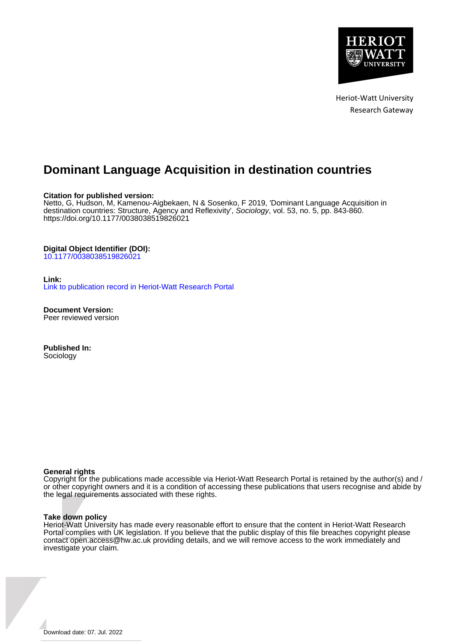

Heriot-Watt University Research Gateway

# **Dominant Language Acquisition in destination countries**

#### **Citation for published version:**

Netto, G, Hudson, M, Kamenou-Aigbekaen, N & Sosenko, F 2019, 'Dominant Language Acquisition in destination countries: Structure, Agency and Reflexivity', Sociology, vol. 53, no. 5, pp. 843-860. <https://doi.org/10.1177/0038038519826021>

#### **Digital Object Identifier (DOI):**

[10.1177/0038038519826021](https://doi.org/10.1177/0038038519826021)

#### **Link:**

[Link to publication record in Heriot-Watt Research Portal](https://researchportal.hw.ac.uk/en/publications/65c03dc1-f4ff-4a92-ae7f-8788ad0f2c3b)

**Document Version:** Peer reviewed version

**Published In:** Sociology

#### **General rights**

Copyright for the publications made accessible via Heriot-Watt Research Portal is retained by the author(s) and / or other copyright owners and it is a condition of accessing these publications that users recognise and abide by the legal requirements associated with these rights.

#### **Take down policy**

Heriot-Watt University has made every reasonable effort to ensure that the content in Heriot-Watt Research Portal complies with UK legislation. If you believe that the public display of this file breaches copyright please contact open.access@hw.ac.uk providing details, and we will remove access to the work immediately and investigate your claim.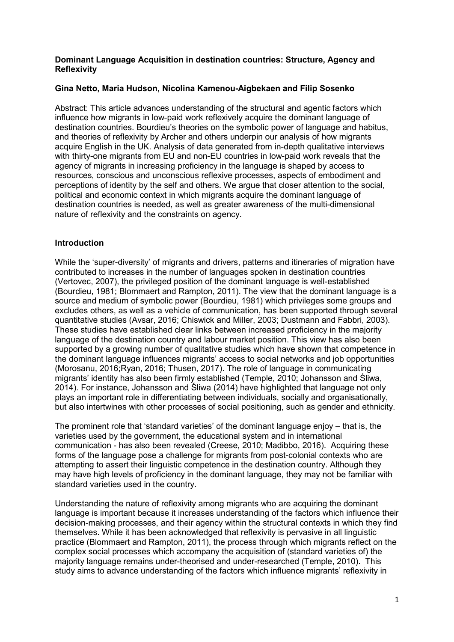# **Dominant Language Acquisition in destination countries: Structure, Agency and Reflexivity**

# **Gina Netto, Maria Hudson, Nicolina Kamenou-Aigbekaen and Filip Sosenko**

Abstract: This article advances understanding of the structural and agentic factors which influence how migrants in low-paid work reflexively acquire the dominant language of destination countries. Bourdieu's theories on the symbolic power of language and habitus, and theories of reflexivity by Archer and others underpin our analysis of how migrants acquire English in the UK. Analysis of data generated from in-depth qualitative interviews with thirty-one migrants from EU and non-EU countries in low-paid work reveals that the agency of migrants in increasing proficiency in the language is shaped by access to resources, conscious and unconscious reflexive processes, aspects of embodiment and perceptions of identity by the self and others. We argue that closer attention to the social, political and economic context in which migrants acquire the dominant language of destination countries is needed, as well as greater awareness of the multi-dimensional nature of reflexivity and the constraints on agency.

# **Introduction**

While the 'super-diversity' of migrants and drivers, patterns and itineraries of migration have contributed to increases in the number of languages spoken in destination countries (Vertovec, 2007), the privileged position of the dominant language is well-established (Bourdieu, 1981; Blommaert and Rampton, 2011). The view that the dominant language is a source and medium of symbolic power (Bourdieu, 1981) which privileges some groups and excludes others, as well as a vehicle of communication, has been supported through several quantitative studies (Avsar, 2016; Chiswick and Miller, 2003; Dustmann and Fabbri, 2003). These studies have established clear links between increased proficiency in the majority language of the destination country and labour market position. This view has also been supported by a growing number of qualitative studies which have shown that competence in the dominant language influences migrants' access to social networks and job opportunities (Morosanu, 2016;Ryan, 2016; Thusen, 2017). The role of language in communicating migrants' identity has also been firmly established (Temple, 2010; Johansson and Śliwa, 2014). For instance, Johansson and Śliwa (2014) have highlighted that language not only plays an important role in differentiating between individuals, socially and organisationally, but also intertwines with other processes of social positioning, such as gender and ethnicity.

The prominent role that 'standard varieties' of the dominant language enjoy – that is, the varieties used by the government, the educational system and in international communication - has also been revealed (Creese, 2010; Madibbo, 2016). Acquiring these forms of the language pose a challenge for migrants from post-colonial contexts who are attempting to assert their linguistic competence in the destination country. Although they may have high levels of proficiency in the dominant language, they may not be familiar with standard varieties used in the country.

Understanding the nature of reflexivity among migrants who are acquiring the dominant language is important because it increases understanding of the factors which influence their decision-making processes, and their agency within the structural contexts in which they find themselves. While it has been acknowledged that reflexivity is pervasive in all linguistic practice (Blommaert and Rampton, 2011), the process through which migrants reflect on the complex social processes which accompany the acquisition of (standard varieties of) the majority language remains under-theorised and under-researched (Temple, 2010). This study aims to advance understanding of the factors which influence migrants' reflexivity in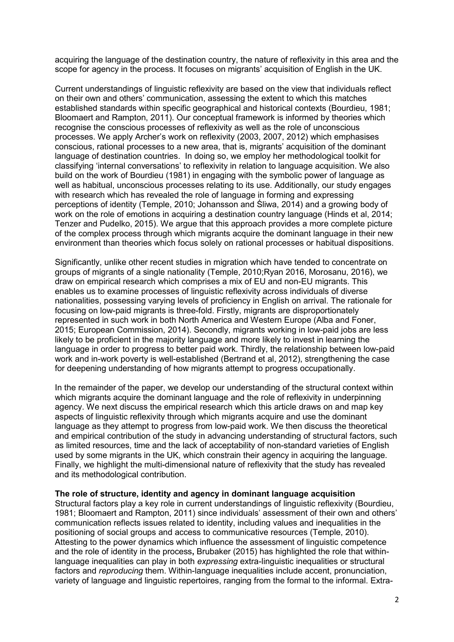acquiring the language of the destination country, the nature of reflexivity in this area and the scope for agency in the process. It focuses on migrants' acquisition of English in the UK.

Current understandings of linguistic reflexivity are based on the view that individuals reflect on their own and others' communication, assessing the extent to which this matches established standards within specific geographical and historical contexts (Bourdieu, 1981; Bloomaert and Rampton, 2011). Our conceptual framework is informed by theories which recognise the conscious processes of reflexivity as well as the role of unconscious processes. We apply Archer's work on reflexivity (2003, 2007, 2012) which emphasises conscious, rational processes to a new area, that is, migrants' acquisition of the dominant language of destination countries. In doing so, we employ her methodological toolkit for classifying 'internal conversations' to reflexivity in relation to language acquisition. We also build on the work of Bourdieu (1981) in engaging with the symbolic power of language as well as habitual, unconscious processes relating to its use. Additionally, our study engages with research which has revealed the role of language in forming and expressing perceptions of identity (Temple, 2010; Johansson and Śliwa, 2014) and a growing body of work on the role of emotions in acquiring a destination country language (Hinds et al, 2014; Tenzer and Pudelko, 2015). We argue that this approach provides a more complete picture of the complex process through which migrants acquire the dominant language in their new environment than theories which focus solely on rational processes or habitual dispositions.

Significantly, unlike other recent studies in migration which have tended to concentrate on groups of migrants of a single nationality (Temple, 2010;Ryan 2016, Morosanu, 2016), we draw on empirical research which comprises a mix of EU and non-EU migrants. This enables us to examine processes of linguistic reflexivity across individuals of diverse nationalities, possessing varying levels of proficiency in English on arrival. The rationale for focusing on low-paid migrants is three-fold. Firstly, migrants are disproportionately represented in such work in both North America and Western Europe (Alba and Foner, 2015; European Commission, 2014). Secondly, migrants working in low-paid jobs are less likely to be proficient in the majority language and more likely to invest in learning the language in order to progress to better paid work. Thirdly, the relationship between low-paid work and in-work poverty is well-established (Bertrand et al, 2012), strengthening the case for deepening understanding of how migrants attempt to progress occupationally.

In the remainder of the paper, we develop our understanding of the structural context within which migrants acquire the dominant language and the role of reflexivity in underpinning agency. We next discuss the empirical research which this article draws on and map key aspects of linguistic reflexivity through which migrants acquire and use the dominant language as they attempt to progress from low-paid work. We then discuss the theoretical and empirical contribution of the study in advancing understanding of structural factors, such as limited resources, time and the lack of acceptability of non-standard varieties of English used by some migrants in the UK, which constrain their agency in acquiring the language. Finally, we highlight the multi-dimensional nature of reflexivity that the study has revealed and its methodological contribution.

#### **The role of structure, identity and agency in dominant language acquisition**

Structural factors play a key role in current understandings of linguistic reflexivity (Bourdieu, 1981; Bloomaert and Rampton, 2011) since individuals' assessment of their own and others' communication reflects issues related to identity, including values and inequalities in the positioning of social groups and access to communicative resources (Temple, 2010). Attesting to the power dynamics which influence the assessment of linguistic competence and the role of identity in the process**,** Brubaker (2015) has highlighted the role that withinlanguage inequalities can play in both *expressing* extra-linguistic inequalities or structural factors and *reproducing* them. Within-language inequalities include accent, pronunciation, variety of language and linguistic repertoires, ranging from the formal to the informal. Extra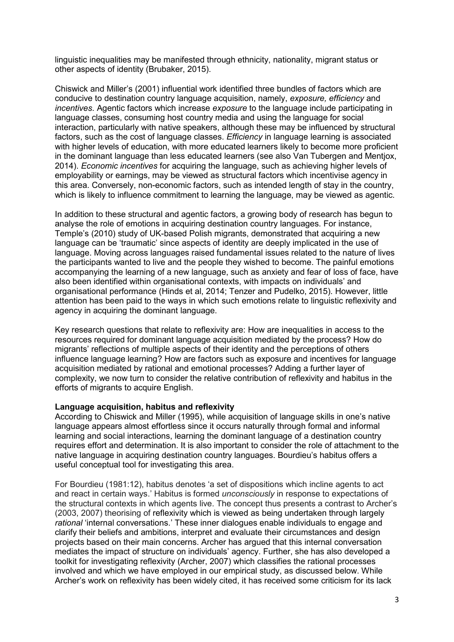linguistic inequalities may be manifested through ethnicity, nationality, migrant status or other aspects of identity (Brubaker, 2015).

Chiswick and Miller's (2001) influential work identified three bundles of factors which are conducive to destination country language acquisition, namely, *exposure, efficiency* and *incentives.* Agentic factors which increase *exposure* to the language include participating in language classes, consuming host country media and using the language for social interaction, particularly with native speakers, although these may be influenced by structural factors, such as the cost of language classes. *Efficiency* in language learning is associated with higher levels of education, with more educated learners likely to become more proficient in the dominant language than less educated learners (see also Van Tubergen and Mentjox, 2014). *Economic incentives* for acquiring the language, such as achieving higher levels of employability or earnings, may be viewed as structural factors which incentivise agency in this area. Conversely, non-economic factors, such as intended length of stay in the country, which is likely to influence commitment to learning the language, may be viewed as agentic.

In addition to these structural and agentic factors, a growing body of research has begun to analyse the role of emotions in acquiring destination country languages. For instance, Temple's (2010) study of UK-based Polish migrants, demonstrated that acquiring a new language can be 'traumatic' since aspects of identity are deeply implicated in the use of language. Moving across languages raised fundamental issues related to the nature of lives the participants wanted to live and the people they wished to become. The painful emotions accompanying the learning of a new language, such as anxiety and fear of loss of face, have also been identified within organisational contexts, with impacts on individuals' and organisational performance (Hinds et al, 2014; Tenzer and Pudelko, 2015). However, little attention has been paid to the ways in which such emotions relate to linguistic reflexivity and agency in acquiring the dominant language.

Key research questions that relate to reflexivity are: How are inequalities in access to the resources required for dominant language acquisition mediated by the process? How do migrants' reflections of multiple aspects of their identity and the perceptions of others influence language learning? How are factors such as exposure and incentives for language acquisition mediated by rational and emotional processes? Adding a further layer of complexity, we now turn to consider the relative contribution of reflexivity and habitus in the efforts of migrants to acquire English.

## **Language acquisition, habitus and reflexivity**

According to Chiswick and Miller (1995), while acquisition of language skills in one's native language appears almost effortless since it occurs naturally through formal and informal learning and social interactions, learning the dominant language of a destination country requires effort and determination. It is also important to consider the role of attachment to the native language in acquiring destination country languages. Bourdieu's habitus offers a useful conceptual tool for investigating this area.

For Bourdieu (1981:12), habitus denotes 'a set of dispositions which incline agents to act and react in certain ways.' Habitus is formed *unconsciously* in response to expectations of the structural contexts in which agents live. The concept thus presents a contrast to Archer's (2003, 2007) theorising of reflexivity which is viewed as being undertaken through largely *rational* 'internal conversations.' These inner dialogues enable individuals to engage and clarify their beliefs and ambitions, interpret and evaluate their circumstances and design projects based on their main concerns. Archer has argued that this internal conversation mediates the impact of structure on individuals' agency. Further, she has also developed a toolkit for investigating reflexivity (Archer, 2007) which classifies the rational processes involved and which we have employed in our empirical study, as discussed below. While Archer's work on reflexivity has been widely cited, it has received some criticism for its lack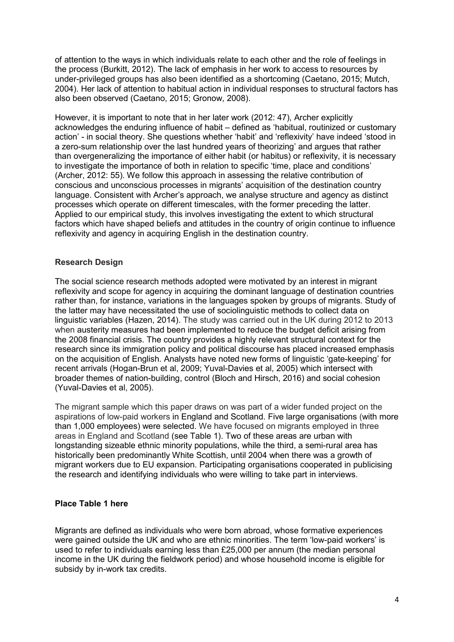of attention to the ways in which individuals relate to each other and the role of feelings in the process (Burkitt, 2012). The lack of emphasis in her work to access to resources by under-privileged groups has also been identified as a shortcoming (Caetano, 2015; Mutch, 2004). Her lack of attention to habitual action in individual responses to structural factors has also been observed (Caetano, 2015; Gronow, 2008).

However, it is important to note that in her later work (2012: 47), Archer explicitly acknowledges the enduring influence of habit – defined as 'habitual, routinized or customary action' - in social theory. She questions whether 'habit' and 'reflexivity' have indeed 'stood in a zero-sum relationship over the last hundred years of theorizing' and argues that rather than overgeneralizing the importance of either habit (or habitus) or reflexivity, it is necessary to investigate the importance of both in relation to specific 'time, place and conditions' (Archer, 2012: 55). We follow this approach in assessing the relative contribution of conscious and unconscious processes in migrants' acquisition of the destination country language. Consistent with Archer's approach, we analyse structure and agency as distinct processes which operate on different timescales, with the former preceding the latter. Applied to our empirical study, this involves investigating the extent to which structural factors which have shaped beliefs and attitudes in the country of origin continue to influence reflexivity and agency in acquiring English in the destination country.

# **Research Design**

The social science research methods adopted were motivated by an interest in migrant reflexivity and scope for agency in acquiring the dominant language of destination countries rather than, for instance, variations in the languages spoken by groups of migrants. Study of the latter may have necessitated the use of sociolinguistic methods to collect data on linguistic variables (Hazen, 2014). The study was carried out in the UK during 2012 to 2013 when austerity measures had been implemented to reduce the budget deficit arising from the 2008 financial crisis. The country provides a highly relevant structural context for the research since its immigration policy and political discourse has placed increased emphasis on the acquisition of English. Analysts have noted new forms of linguistic 'gate-keeping' for recent arrivals (Hogan-Brun et al, 2009; Yuval-Davies et al, 2005) which intersect with broader themes of nation-building, control (Bloch and Hirsch, 2016) and social cohesion (Yuval-Davies et al, 2005).

The migrant sample which this paper draws on was part of a wider funded project on the aspirations of low-paid workers in England and Scotland. Five large organisations (with more than 1,000 employees) were selected. We have focused on migrants employed in three areas in England and Scotland (see Table 1). Two of these areas are urban with longstanding sizeable ethnic minority populations, while the third, a semi-rural area has historically been predominantly White Scottish, until 2004 when there was a growth of migrant workers due to EU expansion. Participating organisations cooperated in publicising the research and identifying individuals who were willing to take part in interviews.

# **Place Table 1 here**

Migrants are defined as individuals who were born abroad, whose formative experiences were gained outside the UK and who are ethnic minorities. The term 'low-paid workers' is used to refer to individuals earning less than £25,000 per annum (the median personal income in the UK during the fieldwork period) and whose household income is eligible for subsidy by in-work tax credits.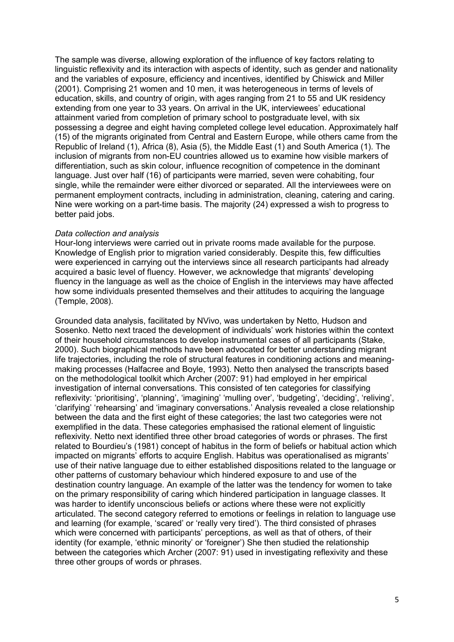The sample was diverse, allowing exploration of the influence of key factors relating to linguistic reflexivity and its interaction with aspects of identity, such as gender and nationality and the variables of exposure, efficiency and incentives, identified by Chiswick and Miller (2001). Comprising 21 women and 10 men, it was heterogeneous in terms of levels of education, skills, and country of origin, with ages ranging from 21 to 55 and UK residency extending from one year to 33 years. On arrival in the UK, interviewees' educational attainment varied from completion of primary school to postgraduate level, with six possessing a degree and eight having completed college level education. Approximately half (15) of the migrants originated from Central and Eastern Europe, while others came from the Republic of Ireland (1), Africa (8), Asia (5), the Middle East (1) and South America (1). The inclusion of migrants from non-EU countries allowed us to examine how visible markers of differentiation, such as skin colour, influence recognition of competence in the dominant language. Just over half (16) of participants were married, seven were cohabiting, four single, while the remainder were either divorced or separated. All the interviewees were on permanent employment contracts, including in administration, cleaning, catering and caring. Nine were working on a part-time basis. The majority (24) expressed a wish to progress to better paid jobs.

# *Data collection and analysis*

Hour-long interviews were carried out in private rooms made available for the purpose. Knowledge of English prior to migration varied considerably. Despite this, few difficulties were experienced in carrying out the interviews since all research participants had already acquired a basic level of fluency. However, we acknowledge that migrants' developing fluency in the language as well as the choice of English in the interviews may have affected how some individuals presented themselves and their attitudes to acquiring the language (Temple, 2008).

Grounded data analysis, facilitated by NVivo, was undertaken by Netto, Hudson and Sosenko. Netto next traced the development of individuals' work histories within the context of their household circumstances to develop instrumental cases of all participants (Stake, 2000). Such biographical methods have been advocated for better understanding migrant life trajectories, including the role of structural features in conditioning actions and meaningmaking processes (Halfacree and Boyle, 1993). Netto then analysed the transcripts based on the methodological toolkit which Archer (2007: 91) had employed in her empirical investigation of internal conversations. This consisted of ten categories for classifying reflexivity: 'prioritising', 'planning', 'imagining' 'mulling over', 'budgeting', 'deciding', 'reliving', 'clarifying' 'rehearsing' and 'imaginary conversations.' Analysis revealed a close relationship between the data and the first eight of these categories; the last two categories were not exemplified in the data. These categories emphasised the rational element of linguistic reflexivity. Netto next identified three other broad categories of words or phrases. The first related to Bourdieu's (1981) concept of habitus in the form of beliefs or habitual action which impacted on migrants' efforts to acquire English. Habitus was operationalised as migrants' use of their native language due to either established dispositions related to the language or other patterns of customary behaviour which hindered exposure to and use of the destination country language. An example of the latter was the tendency for women to take on the primary responsibility of caring which hindered participation in language classes. It was harder to identify unconscious beliefs or actions where these were not explicitly articulated. The second category referred to emotions or feelings in relation to language use and learning (for example, 'scared' or 'really very tired'). The third consisted of phrases which were concerned with participants' perceptions, as well as that of others, of their identity (for example, 'ethnic minority' or 'foreigner') She then studied the relationship between the categories which Archer (2007: 91) used in investigating reflexivity and these three other groups of words or phrases.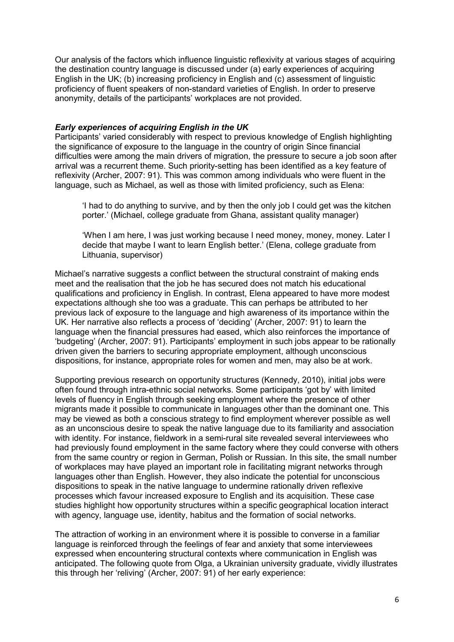Our analysis of the factors which influence linguistic reflexivity at various stages of acquiring the destination country language is discussed under (a) early experiences of acquiring English in the UK; (b) increasing proficiency in English and (c) assessment of linguistic proficiency of fluent speakers of non-standard varieties of English. In order to preserve anonymity, details of the participants' workplaces are not provided.

## *Early experiences of acquiring English in the UK*

Participants' varied considerably with respect to previous knowledge of English highlighting the significance of exposure to the language in the country of origin Since financial difficulties were among the main drivers of migration, the pressure to secure a job soon after arrival was a recurrent theme. Such priority-setting has been identified as a key feature of reflexivity (Archer, 2007: 91). This was common among individuals who were fluent in the language, such as Michael, as well as those with limited proficiency, such as Elena:

'I had to do anything to survive, and by then the only job I could get was the kitchen porter.' (Michael, college graduate from Ghana, assistant quality manager)

'When I am here, I was just working because I need money, money, money. Later I decide that maybe I want to learn English better.' (Elena, college graduate from Lithuania, supervisor)

Michael's narrative suggests a conflict between the structural constraint of making ends meet and the realisation that the job he has secured does not match his educational qualifications and proficiency in English. In contrast, Elena appeared to have more modest expectations although she too was a graduate. This can perhaps be attributed to her previous lack of exposure to the language and high awareness of its importance within the UK. Her narrative also reflects a process of 'deciding' (Archer, 2007: 91) to learn the language when the financial pressures had eased, which also reinforces the importance of 'budgeting' (Archer, 2007: 91). Participants' employment in such jobs appear to be rationally driven given the barriers to securing appropriate employment, although unconscious dispositions, for instance, appropriate roles for women and men, may also be at work.

Supporting previous research on opportunity structures (Kennedy, 2010), initial jobs were often found through intra-ethnic social networks. Some participants 'got by' with limited levels of fluency in English through seeking employment where the presence of other migrants made it possible to communicate in languages other than the dominant one. This may be viewed as both a conscious strategy to find employment wherever possible as well as an unconscious desire to speak the native language due to its familiarity and association with identity. For instance, fieldwork in a semi-rural site revealed several interviewees who had previously found employment in the same factory where they could converse with others from the same country or region in German, Polish or Russian. In this site, the small number of workplaces may have played an important role in facilitating migrant networks through languages other than English. However, they also indicate the potential for unconscious dispositions to speak in the native language to undermine rationally driven reflexive processes which favour increased exposure to English and its acquisition. These case studies highlight how opportunity structures within a specific geographical location interact with agency, language use, identity, habitus and the formation of social networks.

The attraction of working in an environment where it is possible to converse in a familiar language is reinforced through the feelings of fear and anxiety that some interviewees expressed when encountering structural contexts where communication in English was anticipated. The following quote from Olga, a Ukrainian university graduate, vividly illustrates this through her 'reliving' (Archer, 2007: 91) of her early experience: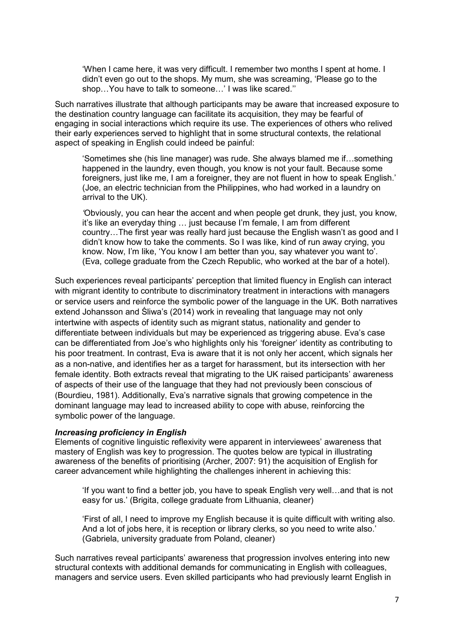'When I came here, it was very difficult. I remember two months I spent at home. I didn't even go out to the shops. My mum, she was screaming, 'Please go to the shop…You have to talk to someone…' I was like scared.''

Such narratives illustrate that although participants may be aware that increased exposure to the destination country language can facilitate its acquisition, they may be fearful of engaging in social interactions which require its use. The experiences of others who relived their early experiences served to highlight that in some structural contexts, the relational aspect of speaking in English could indeed be painful:

'Sometimes she (his line manager) was rude. She always blamed me if…something happened in the laundry, even though, you know is not your fault. Because some foreigners, just like me, I am a foreigner, they are not fluent in how to speak English.' (Joe, an electric technician from the Philippines, who had worked in a laundry on arrival to the UK).

*'*Obviously, you can hear the accent and when people get drunk, they just, you know, it's like an everyday thing … just because I'm female, I am from different country…The first year was really hard just because the English wasn't as good and I didn't know how to take the comments. So I was like, kind of run away crying, you know. Now, I'm like, 'You know I am better than you, say whatever you want to'. (Eva, college graduate from the Czech Republic, who worked at the bar of a hotel).

Such experiences reveal participants' perception that limited fluency in English can interact with migrant identity to contribute to discriminatory treatment in interactions with managers or service users and reinforce the symbolic power of the language in the UK. Both narratives extend Johansson and Śliwa's (2014) work in revealing that language may not only intertwine with aspects of identity such as migrant status, nationality and gender to differentiate between individuals but may be experienced as triggering abuse. Eva's case can be differentiated from Joe's who highlights only his 'foreigner' identity as contributing to his poor treatment. In contrast, Eva is aware that it is not only her accent, which signals her as a non-native, and identifies her as a target for harassment, but its intersection with her female identity. Both extracts reveal that migrating to the UK raised participants' awareness of aspects of their use of the language that they had not previously been conscious of (Bourdieu, 1981). Additionally, Eva's narrative signals that growing competence in the dominant language may lead to increased ability to cope with abuse, reinforcing the symbolic power of the language.

## *Increasing proficiency in English*

Elements of cognitive linguistic reflexivity were apparent in interviewees' awareness that mastery of English was key to progression. The quotes below are typical in illustrating awareness of the benefits of prioritising (Archer, 2007: 91) the acquisition of English for career advancement while highlighting the challenges inherent in achieving this:

'If you want to find a better job, you have to speak English very well…and that is not easy for us.' (Brigita, college graduate from Lithuania, cleaner)

'First of all, I need to improve my English because it is quite difficult with writing also. And a lot of jobs here, it is reception or library clerks, so you need to write also.' (Gabriela, university graduate from Poland, cleaner)

Such narratives reveal participants' awareness that progression involves entering into new structural contexts with additional demands for communicating in English with colleagues, managers and service users. Even skilled participants who had previously learnt English in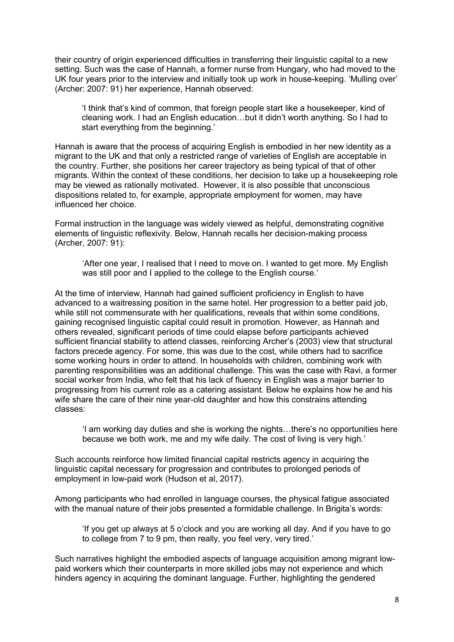their country of origin experienced difficulties in transferring their linguistic capital to a new setting. Such was the case of Hannah, a former nurse from Hungary, who had moved to the UK four years prior to the interview and initially took up work in house-keeping. 'Mulling over' (Archer: 2007: 91) her experience, Hannah observed:

'I think that's kind of common, that foreign people start like a housekeeper, kind of cleaning work. I had an English education…but it didn't worth anything. So I had to start everything from the beginning.'

Hannah is aware that the process of acquiring English is embodied in her new identity as a migrant to the UK and that only a restricted range of varieties of English are acceptable in the country. Further, she positions her career trajectory as being typical of that of other migrants. Within the context of these conditions, her decision to take up a housekeeping role may be viewed as rationally motivated. However, it is also possible that unconscious dispositions related to, for example, appropriate employment for women, may have influenced her choice.

Formal instruction in the language was widely viewed as helpful, demonstrating cognitive elements of linguistic reflexivity. Below, Hannah recalls her decision-making process (Archer, 2007: 91):

'After one year, I realised that I need to move on. I wanted to get more. My English was still poor and I applied to the college to the English course.'

At the time of interview, Hannah had gained sufficient proficiency in English to have advanced to a waitressing position in the same hotel. Her progression to a better paid job, while still not commensurate with her qualifications, reveals that within some conditions, gaining recognised linguistic capital could result in promotion. However, as Hannah and others revealed, significant periods of time could elapse before participants achieved sufficient financial stability to attend classes, reinforcing Archer's (2003) view that structural factors precede agency. For some, this was due to the cost, while others had to sacrifice some working hours in order to attend. In households with children, combining work with parenting responsibilities was an additional challenge. This was the case with Ravi, a former social worker from India, who felt that his lack of fluency in English was a major barrier to progressing from his current role as a catering assistant. Below he explains how he and his wife share the care of their nine year-old daughter and how this constrains attending classes:

'I am working day duties and she is working the nights…there's no opportunities here because we both work, me and my wife daily. The cost of living is very high.'

Such accounts reinforce how limited financial capital restricts agency in acquiring the linguistic capital necessary for progression and contributes to prolonged periods of employment in low-paid work (Hudson et al, 2017).

Among participants who had enrolled in language courses, the physical fatigue associated with the manual nature of their jobs presented a formidable challenge. In Brigita's words:

'If you get up always at 5 o'clock and you are working all day. And if you have to go to college from 7 to 9 pm, then really, you feel very, very tired.'

Such narratives highlight the embodied aspects of language acquisition among migrant lowpaid workers which their counterparts in more skilled jobs may not experience and which hinders agency in acquiring the dominant language. Further, highlighting the gendered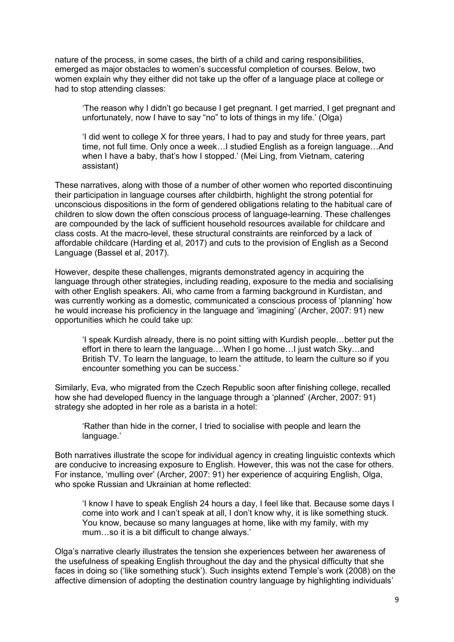nature of the process, in some cases, the birth of a child and caring responsibilities, emerged as major obstacles to women's successful completion of courses. Below, two women explain why they either did not take up the offer of a language place at college or had to stop attending classes:

'The reason why I didn't go because I get pregnant. I get married, I get pregnant and unfortunately, now I have to say "no" to lots of things in my life.' (Olga)

'I did went to college X for three years, I had to pay and study for three years, part time, not full time. Only once a week…I studied English as a foreign language…And when I have a baby, that's how I stopped.' (Mei Ling, from Vietnam, catering assistant)

These narratives, along with those of a number of other women who reported discontinuing their participation in language courses after childbirth, highlight the strong potential for unconscious dispositions in the form of gendered obligations relating to the habitual care of children to slow down the often conscious process of language-learning. These challenges are compounded by the lack of sufficient household resources available for childcare and class costs. At the macro-level, these structural constraints are reinforced by a lack of affordable childcare (Harding et al, 2017) and cuts to the provision of English as a Second Language (Bassel et al, 2017).

However, despite these challenges, migrants demonstrated agency in acquiring the language through other strategies, including reading, exposure to the media and socialising with other English speakers. Ali, who came from a farming background in Kurdistan, and was currently working as a domestic, communicated a conscious process of 'planning' how he would increase his proficiency in the language and 'imagining' (Archer, 2007: 91) new opportunities which he could take up:

'I speak Kurdish already, there is no point sitting with Kurdish people…better put the effort in there to learn the language….When I go home…I just watch Sky…and British TV. To learn the language, to learn the attitude, to learn the culture so if you encounter something you can be success.'

Similarly, Eva, who migrated from the Czech Republic soon after finishing college, recalled how she had developed fluency in the language through a 'planned' (Archer, 2007: 91) strategy she adopted in her role as a barista in a hotel:

'Rather than hide in the corner, I tried to socialise with people and learn the language.'

Both narratives illustrate the scope for individual agency in creating linguistic contexts which are conducive to increasing exposure to English. However, this was not the case for others. For instance, 'mulling over' (Archer, 2007: 91) her experience of acquiring English, Olga, who spoke Russian and Ukrainian at home reflected:

'I know I have to speak English 24 hours a day, I feel like that. Because some days I come into work and I can't speak at all, I don't know why, it is like something stuck. You know, because so many languages at home, like with my family, with my mum…so it is a bit difficult to change always.'

Olga's narrative clearly illustrates the tension she experiences between her awareness of the usefulness of speaking English throughout the day and the physical difficulty that she faces in doing so ('like something stuck'). Such insights extend Temple's work (2008) on the affective dimension of adopting the destination country language by highlighting individuals'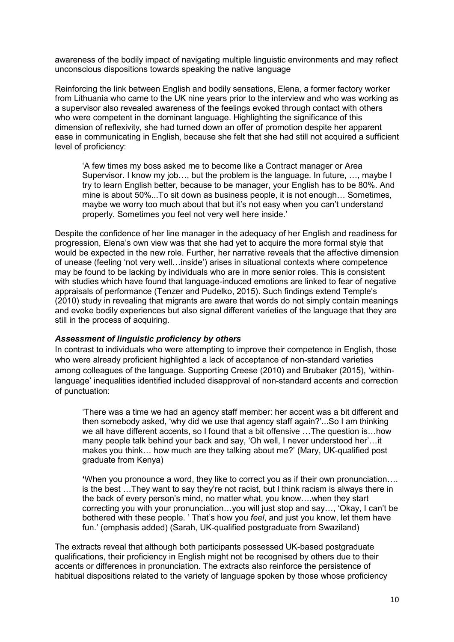awareness of the bodily impact of navigating multiple linguistic environments and may reflect unconscious dispositions towards speaking the native language

Reinforcing the link between English and bodily sensations, Elena, a former factory worker from Lithuania who came to the UK nine years prior to the interview and who was working as a supervisor also revealed awareness of the feelings evoked through contact with others who were competent in the dominant language. Highlighting the significance of this dimension of reflexivity, she had turned down an offer of promotion despite her apparent ease in communicating in English, because she felt that she had still not acquired a sufficient level of proficiency:

'A few times my boss asked me to become like a Contract manager or Area Supervisor. I know my job…, but the problem is the language. In future, …, maybe I try to learn English better, because to be manager, your English has to be 80%. And mine is about 50%...To sit down as business people, it is not enough… Sometimes, maybe we worry too much about that but it's not easy when you can't understand properly. Sometimes you feel not very well here inside.'

Despite the confidence of her line manager in the adequacy of her English and readiness for progression, Elena's own view was that she had yet to acquire the more formal style that would be expected in the new role. Further, her narrative reveals that the affective dimension of unease (feeling 'not very well…inside') arises in situational contexts where competence may be found to be lacking by individuals who are in more senior roles. This is consistent with studies which have found that language-induced emotions are linked to fear of negative appraisals of performance (Tenzer and Pudelko, 2015). Such findings extend Temple's (2010) study in revealing that migrants are aware that words do not simply contain meanings and evoke bodily experiences but also signal different varieties of the language that they are still in the process of acquiring.

# *Assessment of linguistic proficiency by others*

In contrast to individuals who were attempting to improve their competence in English, those who were already proficient highlighted a lack of acceptance of non-standard varieties among colleagues of the language. Supporting Creese (2010) and Brubaker (2015), 'withinlanguage' inequalities identified included disapproval of non-standard accents and correction of punctuation:

'There was a time we had an agency staff member: her accent was a bit different and then somebody asked, 'why did we use that agency staff again?'...So I am thinking we all have different accents, so I found that a bit offensive …The question is…how many people talk behind your back and say, 'Oh well, I never understood her'…it makes you think… how much are they talking about me?' (Mary, UK-qualified post graduate from Kenya)

**'**When you pronounce a word, they like to correct you as if their own pronunciation…. is the best …They want to say they're not racist, but I think racism is always there in the back of every person's mind, no matter what, you know….when they start correcting you with your pronunciation…you will just stop and say…, 'Okay, I can't be bothered with these people. ' That's how you *feel*, and just you know, let them have fun.' (emphasis added) (Sarah, UK-qualified postgraduate from Swaziland)

The extracts reveal that although both participants possessed UK-based postgraduate qualifications, their proficiency in English might not be recognised by others due to their accents or differences in pronunciation. The extracts also reinforce the persistence of habitual dispositions related to the variety of language spoken by those whose proficiency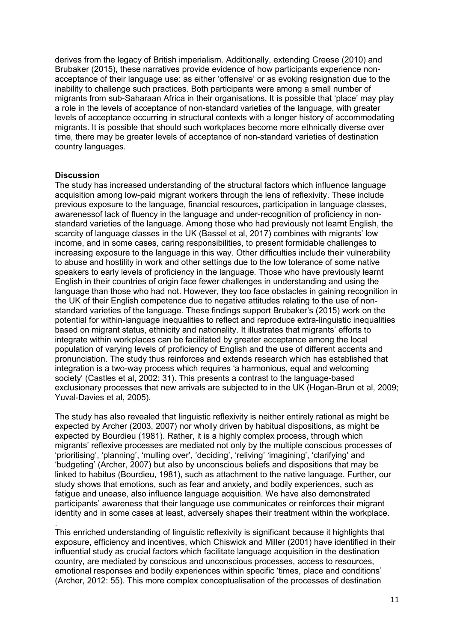derives from the legacy of British imperialism. Additionally, extending Creese (2010) and Brubaker (2015), these narratives provide evidence of how participants experience nonacceptance of their language use: as either 'offensive' or as evoking resignation due to the inability to challenge such practices. Both participants were among a small number of migrants from sub-Saharaan Africa in their organisations. It is possible that 'place' may play a role in the levels of acceptance of non-standard varieties of the language, with greater levels of acceptance occurring in structural contexts with a longer history of accommodating migrants. It is possible that should such workplaces become more ethnically diverse over time, there may be greater levels of acceptance of non-standard varieties of destination country languages.

# **Discussion**

The study has increased understanding of the structural factors which influence language acquisition among low-paid migrant workers through the lens of reflexivity. These include previous exposure to the language, financial resources, participation in language classes, awarenessof lack of fluency in the language and under-recognition of proficiency in nonstandard varieties of the language. Among those who had previously not learnt English, the scarcity of language classes in the UK (Bassel et al, 2017) combines with migrants' low income, and in some cases, caring responsibilities, to present formidable challenges to increasing exposure to the language in this way. Other difficulties include their vulnerability to abuse and hostility in work and other settings due to the low tolerance of some native speakers to early levels of proficiency in the language. Those who have previously learnt English in their countries of origin face fewer challenges in understanding and using the language than those who had not. However, they too face obstacles in gaining recognition in the UK of their English competence due to negative attitudes relating to the use of nonstandard varieties of the language. These findings support Brubaker's (2015) work on the potential for within-language inequalities to reflect and reproduce extra-linguistic inequalities based on migrant status, ethnicity and nationality. It illustrates that migrants' efforts to integrate within workplaces can be facilitated by greater acceptance among the local population of varying levels of proficiency of English and the use of different accents and pronunciation. The study thus reinforces and extends research which has established that integration is a two-way process which requires 'a harmonious, equal and welcoming society' (Castles et al, 2002: 31). This presents a contrast to the language-based exclusionary processes that new arrivals are subjected to in the UK (Hogan-Brun et al, 2009; Yuval-Davies et al, 2005).

The study has also revealed that linguistic reflexivity is neither entirely rational as might be expected by Archer (2003, 2007) nor wholly driven by habitual dispositions, as might be expected by Bourdieu (1981). Rather, it is a highly complex process, through which migrants' reflexive processes are mediated not only by the multiple conscious processes of 'prioritising', 'planning', 'mulling over', 'deciding', 'reliving' 'imagining', 'clarifying' and 'budgeting' (Archer, 2007) but also by unconscious beliefs and dispositions that may be linked to habitus (Bourdieu, 1981), such as attachment to the native language. Further, our study shows that emotions, such as fear and anxiety, and bodily experiences, such as fatigue and unease, also influence language acquisition. We have also demonstrated participants' awareness that their language use communicates or reinforces their migrant identity and in some cases at least, adversely shapes their treatment within the workplace.

. This enriched understanding of linguistic reflexivity is significant because it highlights that exposure, efficiency and incentives, which Chiswick and Miller (2001) have identified in their influential study as crucial factors which facilitate language acquisition in the destination country, are mediated by conscious and unconscious processes, access to resources, emotional responses and bodily experiences within specific 'times, place and conditions' (Archer, 2012: 55). This more complex conceptualisation of the processes of destination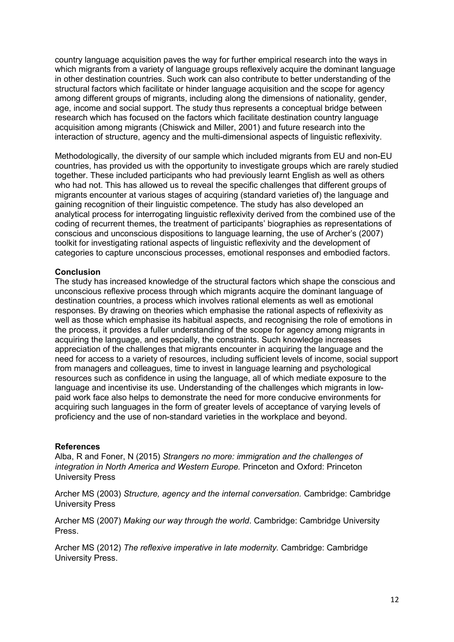country language acquisition paves the way for further empirical research into the ways in which migrants from a variety of language groups reflexively acquire the dominant language in other destination countries. Such work can also contribute to better understanding of the structural factors which facilitate or hinder language acquisition and the scope for agency among different groups of migrants, including along the dimensions of nationality, gender, age, income and social support. The study thus represents a conceptual bridge between research which has focused on the factors which facilitate destination country language acquisition among migrants (Chiswick and Miller, 2001) and future research into the interaction of structure, agency and the multi-dimensional aspects of linguistic reflexivity.

Methodologically, the diversity of our sample which included migrants from EU and non-EU countries, has provided us with the opportunity to investigate groups which are rarely studied together. These included participants who had previously learnt English as well as others who had not. This has allowed us to reveal the specific challenges that different groups of migrants encounter at various stages of acquiring (standard varieties of) the language and gaining recognition of their linguistic competence. The study has also developed an analytical process for interrogating linguistic reflexivity derived from the combined use of the coding of recurrent themes, the treatment of participants' biographies as representations of conscious and unconscious dispositions to language learning, the use of Archer's (2007) toolkit for investigating rational aspects of linguistic reflexivity and the development of categories to capture unconscious processes, emotional responses and embodied factors.

# **Conclusion**

The study has increased knowledge of the structural factors which shape the conscious and unconscious reflexive process through which migrants acquire the dominant language of destination countries, a process which involves rational elements as well as emotional responses. By drawing on theories which emphasise the rational aspects of reflexivity as well as those which emphasise its habitual aspects, and recognising the role of emotions in the process, it provides a fuller understanding of the scope for agency among migrants in acquiring the language, and especially, the constraints. Such knowledge increases appreciation of the challenges that migrants encounter in acquiring the language and the need for access to a variety of resources, including sufficient levels of income, social support from managers and colleagues, time to invest in language learning and psychological resources such as confidence in using the language, all of which mediate exposure to the language and incentivise its use. Understanding of the challenges which migrants in lowpaid work face also helps to demonstrate the need for more conducive environments for acquiring such languages in the form of greater levels of acceptance of varying levels of proficiency and the use of non-standard varieties in the workplace and beyond.

## **References**

Alba, R and Foner, N (2015) *Strangers no more: immigration and the challenges of integration in North America and Western Europe.* Princeton and Oxford: Princeton University Press

Archer MS (2003) *Structure, agency and the internal conversation.* Cambridge: Cambridge University Press

Archer MS (2007) *Making our way through the world*. Cambridge: Cambridge University Press.

Archer MS (2012) *The reflexive imperative in late modernity.* Cambridge: Cambridge University Press.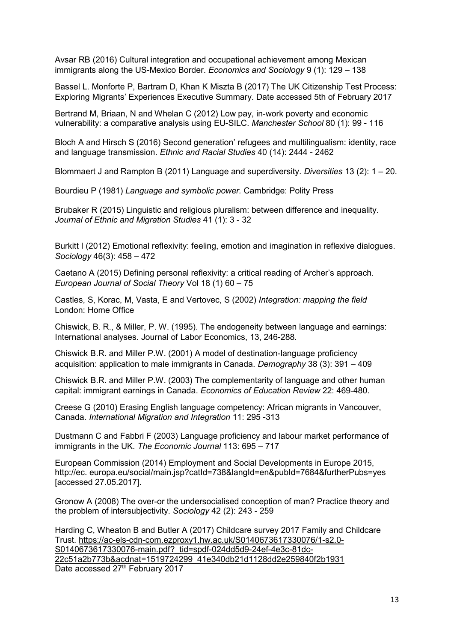Avsar RB (2016) Cultural integration and occupational achievement among Mexican immigrants along the US-Mexico Border. *Economics and Sociology* 9 (1): 129 – 138

Bassel L. Monforte P, Bartram D, Khan K Miszta B (2017) The UK Citizenship Test Process: Exploring Migrants' Experiences Executive Summary. Date accessed 5th of February 2017

Bertrand M, Briaan, N and Whelan C (2012) Low pay, in-work poverty and economic vulnerability: a comparative analysis using EU-SILC. *Manchester School* 80 (1): 99 - 116

Bloch A and Hirsch S (2016) Second generation' refugees and multilingualism: identity, race and language transmission. *Ethnic and Racial Studies* 40 (14): 2444 - 2462

Blommaert J and Rampton B (2011) Language and superdiversity. *Diversities* 13 (2): 1 – 20.

Bourdieu P (1981) *Language and symbolic power.* Cambridge: Polity Press

Brubaker R (2015) Linguistic and religious pluralism: between difference and inequality. *Journal of Ethnic and Migration Studies* 41 (1): 3 - 32

Burkitt I (2012) Emotional reflexivity: feeling, emotion and imagination in reflexive dialogues. *Sociology* 46(3): 458 – 472

Caetano A (2015) Defining personal reflexivity: a critical reading of Archer's approach. *European Journal of Social Theory* Vol 18 (1) 60 – 75

Castles, S, Korac, M, Vasta, E and Vertovec, S (2002) *Integration: mapping the field*  London: Home Office

Chiswick, B. R., & Miller, P. W. (1995). The endogeneity between language and earnings: International analyses. Journal of Labor Economics, 13, 246-288.

Chiswick B.R. and Miller P.W. (2001) A model of destination-language proficiency acquisition: application to male immigrants in Canada. *Demography* 38 (3): 391 – 409

Chiswick B.R. and Miller P.W. (2003) The complementarity of language and other human capital: immigrant earnings in Canada. *Economics of Education Review* 22: 469-480.

Creese G (2010) Erasing English language competency: African migrants in Vancouver, Canada. *International Migration and Integration* 11: 295 -313

Dustmann C and Fabbri F (2003) Language proficiency and labour market performance of immigrants in the UK. *The Economic Journal* 113: 695 – 717

European Commission (2014) Employment and Social Developments in Europe 2015, http://ec. europa.eu/social/main.jsp?catId=738&langId=en&pubId=7684&furtherPubs=yes [accessed 27.05.2017].

Gronow A (2008) The over-or the undersocialised conception of man? Practice theory and the problem of intersubjectivity. *Sociology* 42 (2): 243 - 259

Harding C, Wheaton B and Butler A (2017) Childcare survey 2017 Family and Childcare Trust. [https://ac-els-cdn-com.ezproxy1.hw.ac.uk/S0140673617330076/1-s2.0-](https://ac-els-cdn-com.ezproxy1.hw.ac.uk/S0140673617330076/1-s2.0-S0140673617330076-main.pdf?_tid=spdf-024dd5d9-24ef-4e3c-81dc-22c51a2b773b&acdnat=1519724299_41e340db21d1128dd2e259840f2b1931) [S0140673617330076-main.pdf?\\_tid=spdf-024dd5d9-24ef-4e3c-81dc-](https://ac-els-cdn-com.ezproxy1.hw.ac.uk/S0140673617330076/1-s2.0-S0140673617330076-main.pdf?_tid=spdf-024dd5d9-24ef-4e3c-81dc-22c51a2b773b&acdnat=1519724299_41e340db21d1128dd2e259840f2b1931)[22c51a2b773b&acdnat=1519724299\\_41e340db21d1128dd2e259840f2b1931](https://ac-els-cdn-com.ezproxy1.hw.ac.uk/S0140673617330076/1-s2.0-S0140673617330076-main.pdf?_tid=spdf-024dd5d9-24ef-4e3c-81dc-22c51a2b773b&acdnat=1519724299_41e340db21d1128dd2e259840f2b1931) Date accessed 27<sup>th</sup> February 2017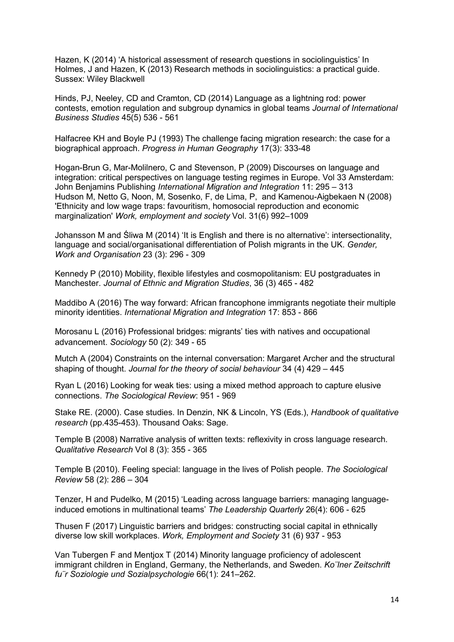Hazen, K (2014) 'A historical assessment of research questions in sociolinguistics' In Holmes, J and Hazen, K (2013) Research methods in sociolinguistics: a practical guide. Sussex: Wiley Blackwell

Hinds, PJ, Neeley, CD and Cramton, CD (2014) Language as a lightning rod: power contests, emotion regulation and subgroup dynamics in global teams *Journal of International Business Studies* 45(5) 536 - 561

Halfacree KH and Boyle PJ (1993) The challenge facing migration research: the case for a biographical approach. *Progress in Human Geography* 17(3): 333-48

Hogan-Brun G, Mar-Molilnero, C and Stevenson, P (2009) Discourses on language and integration: critical perspectives on language testing regimes in Europe. Vol 33 Amsterdam: John Benjamins Publishing *International Migration and Integration* 11: 295 – 313 Hudson M, Netto G, Noon, M, Sosenko, F, de Lima, P, and Kamenou-Aigbekaen N (2008) 'Ethnicity and low wage traps: favouritism, homosocial reproduction and economic marginalization' *Work, employment and society* Vol. 31(6) 992–1009

Johansson M and Śliwa M (2014) 'It is English and there is no alternative': intersectionality, language and social/organisational differentiation of Polish migrants in the UK. *Gender, Work and Organisation* 23 (3): 296 - 309

Kennedy P (2010) Mobility, flexible lifestyles and cosmopolitanism: EU postgraduates in Manchester. *Journal of Ethnic and Migration Studies*, 36 (3) 465 - 482

Maddibo A (2016) The way forward: African francophone immigrants negotiate their multiple minority identities. *International Migration and Integration* 17: 853 - 866

Morosanu L (2016) Professional bridges: migrants' ties with natives and occupational advancement. *Sociology* 50 (2): 349 - 65

Mutch A (2004) Constraints on the internal conversation: Margaret Archer and the structural shaping of thought. *Journal for the theory of social behaviour* 34 (4) 429 – 445

Ryan L (2016) Looking for weak ties: using a mixed method approach to capture elusive connections. *The Sociological Review*: 951 - 969

Stake RE. (2000). Case studies. In Denzin, NK & Lincoln, YS (Eds.), *Handbook of qualitative research* (pp.435-453). Thousand Oaks: Sage.

Temple B (2008) Narrative analysis of written texts: reflexivity in cross language research. *Qualitative Research* Vol 8 (3): 355 - 365

Temple B (2010). Feeling special: language in the lives of Polish people. *The Sociological Review* 58 (2): 286 – 304

Tenzer, H and Pudelko, M (2015) 'Leading across language barriers: managing languageinduced emotions in multinational teams' *The Leadership Quarterly* 26(4): 606 - 625

Thusen F (2017) Linguistic barriers and bridges: constructing social capital in ethnically diverse low skill workplaces. *Work, Employment and Society* 31 (6) 937 - 953

Van Tubergen F and Mentjox T (2014) Minority language proficiency of adolescent immigrant children in England, Germany, the Netherlands, and Sweden. *Ko¨lner Zeitschrift fu¨r Soziologie und Sozialpsychologie* 66(1): 241–262.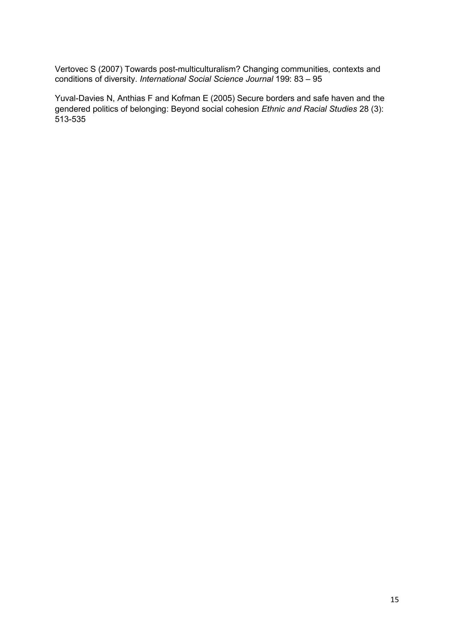Vertovec S (2007) Towards post-multiculturalism? Changing communities, contexts and conditions of diversity. *International Social Science Journal* 199: 83 – 95

Yuval-Davies N, Anthias F and Kofman E (2005) Secure borders and safe haven and the gendered politics of belonging: Beyond social cohesion *Ethnic and Racial Studies* 28 (3): 513-535